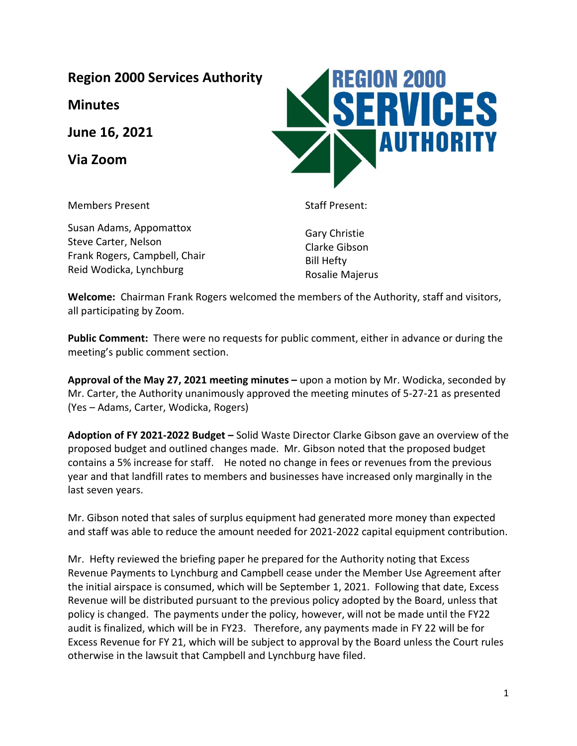**Region 2000 Services Authority**

**Minutes**

**June 16, 2021**

**Via Zoom**

Members Present

Susan Adams, Appomattox Steve Carter, Nelson Frank Rogers, Campbell, Chair Reid Wodicka, Lynchburg

Staff Present:

Gary Christie Clarke Gibson Bill Hefty Rosalie Majerus

**Welcome:** Chairman Frank Rogers welcomed the members of the Authority, staff and visitors, all participating by Zoom.

**Public Comment:** There were no requests for public comment, either in advance or during the meeting's public comment section.

**Approval of the May 27, 2021 meeting minutes –** upon a motion by Mr. Wodicka, seconded by Mr. Carter, the Authority unanimously approved the meeting minutes of 5-27-21 as presented (Yes – Adams, Carter, Wodicka, Rogers)

**Adoption of FY 2021-2022 Budget –** Solid Waste Director Clarke Gibson gave an overview of the proposed budget and outlined changes made. Mr. Gibson noted that the proposed budget contains a 5% increase for staff. He noted no change in fees or revenues from the previous year and that landfill rates to members and businesses have increased only marginally in the last seven years.

Mr. Gibson noted that sales of surplus equipment had generated more money than expected and staff was able to reduce the amount needed for 2021-2022 capital equipment contribution.

Mr. Hefty reviewed the briefing paper he prepared for the Authority noting that Excess Revenue Payments to Lynchburg and Campbell cease under the Member Use Agreement after the initial airspace is consumed, which will be September 1, 2021. Following that date, Excess Revenue will be distributed pursuant to the previous policy adopted by the Board, unless that policy is changed. The payments under the policy, however, will not be made until the FY22 audit is finalized, which will be in FY23. Therefore, any payments made in FY 22 will be for Excess Revenue for FY 21, which will be subject to approval by the Board unless the Court rules otherwise in the lawsuit that Campbell and Lynchburg have filed.